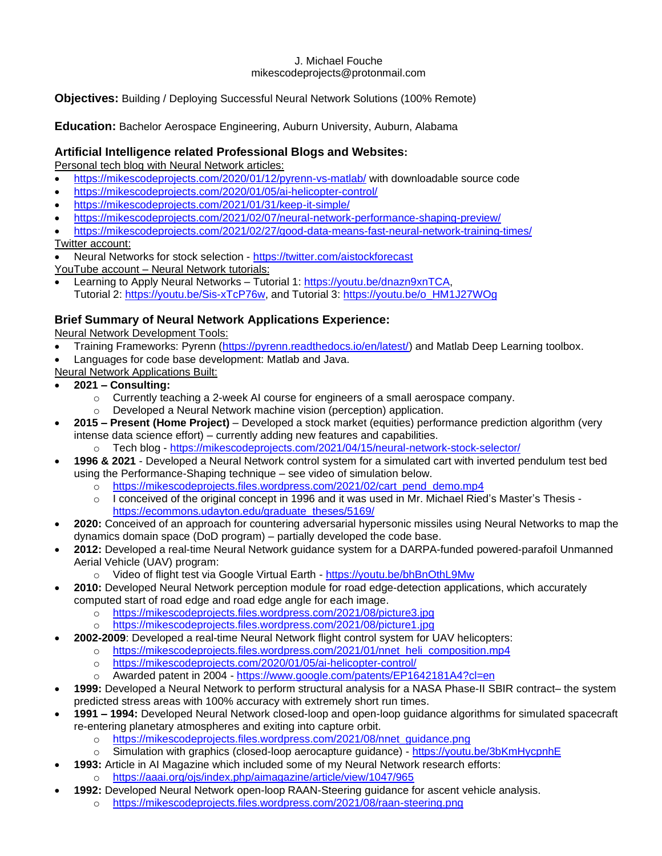### J. Michael Fouche mikescodeprojects@protonmail.com

**Objectives:** Building / Deploying Successful Neural Network Solutions (100% Remote)

**Education:** Bachelor Aerospace Engineering, Auburn University, Auburn, Alabama

### **Artificial Intelligence related Professional Blogs and Websites:**

Personal tech blog with Neural Network articles:

- <https://mikescodeprojects.com/2020/01/12/pyrenn-vs-matlab/> with downloadable source code
- <https://mikescodeprojects.com/2020/01/05/ai-helicopter-control/>
- <https://mikescodeprojects.com/2021/01/31/keep-it-simple/>
- <https://mikescodeprojects.com/2021/02/07/neural-network-performance-shaping-preview/>
- <https://mikescodeprojects.com/2021/02/27/good-data-means-fast-neural-network-training-times/> Twitter account:
- Neural Networks for stock selection <https://twitter.com/aistockforecast>
- YouTube account Neural Network tutorials: • Learning to Apply Neural Networks – Tutorial 1: [https://youtu.be/dnazn9xnTCA,](https://youtu.be/dnazn9xnTCA) Tutorial 2: [https://youtu.be/Sis-xTcP76w,](https://youtu.be/Sis-xTcP76w) and Tutorial 3: [https://youtu.be/o\\_HM1J27WOg](https://youtu.be/o_HM1J27WOg)
- 

### **Brief Summary of Neural Network Applications Experience:**

Neural Network Development Tools:

- Training Frameworks: Pyrenn [\(https://pyrenn.readthedocs.io/en/latest/\)](https://pyrenn.readthedocs.io/en/latest/) and Matlab Deep Learning toolbox.
- Languages for code base development: Matlab and Java.
- Neural Network Applications Built:
- **2021 – Consulting:**
	- o Currently teaching a 2-week AI course for engineers of a small aerospace company.
	- o Developed a Neural Network machine vision (perception) application.
- **2015 – Present (Home Project)** Developed a stock market (equities) performance prediction algorithm (very intense data science effort) – currently adding new features and capabilities. o Tech blog - <https://mikescodeprojects.com/2021/04/15/neural-network-stock-selector/>
	- **1996 & 2021** Developed a Neural Network control system for a simulated cart with inverted pendulum test bed
		- using the Performance-Shaping technique see video of simulation below.
			- o [https://mikescodeprojects.files.wordpress.com/2021/02/cart\\_pend\\_demo.mp4](https://mikescodeprojects.files.wordpress.com/2021/02/cart_pend_demo.mp4)
			- o I conceived of the original concept in 1996 and it was used in Mr. Michael Ried's Master's Thesis [https://ecommons.udayton.edu/graduate\\_theses/5169/](https://ecommons.udayton.edu/graduate_theses/5169/)
- **2020:** Conceived of an approach for countering adversarial hypersonic missiles using Neural Networks to map the dynamics domain space (DoD program) – partially developed the code base.
- **2012:** Developed a real-time Neural Network guidance system for a DARPA-funded powered-parafoil Unmanned Aerial Vehicle (UAV) program:
	- o Video of flight test via Google Virtual Earth <https://youtu.be/bhBnOthL9Mw>
- **2010:** Developed Neural Network perception module for road edge-detection applications, which accurately computed start of road edge and road edge angle for each image.
	- o <https://mikescodeprojects.files.wordpress.com/2021/08/picture3.jpg>
	- o <https://mikescodeprojects.files.wordpress.com/2021/08/picture1.jpg>
	- **2002-2009**: Developed a real-time Neural Network flight control system for UAV helicopters:
		- o [https://mikescodeprojects.files.wordpress.com/2021/01/nnet\\_heli\\_composition.mp4](https://mikescodeprojects.files.wordpress.com/2021/01/nnet_heli_composition.mp4)
			- o <https://mikescodeprojects.com/2020/01/05/ai-helicopter-control/>
			- o Awarded patent in 2004 <https://www.google.com/patents/EP1642181A4?cl=en>
- **1999:** Developed a Neural Network to perform structural analysis for a NASA Phase-II SBIR contract– the system predicted stress areas with 100% accuracy with extremely short run times.
- **1991 – 1994:** Developed Neural Network closed-loop and open-loop guidance algorithms for simulated spacecraft re-entering planetary atmospheres and exiting into capture orbit.
	- o [https://mikescodeprojects.files.wordpress.com/2021/08/nnet\\_guidance.png](https://mikescodeprojects.files.wordpress.com/2021/08/nnet_guidance.png)
	- o Simulation with graphics (closed-loop aerocapture guidance) <https://youtu.be/3bKmHycpnhE>
	- **1993:** Article in AI Magazine which included some of my Neural Network research efforts:
		- o <https://aaai.org/ojs/index.php/aimagazine/article/view/1047/965>
- **1992:** Developed Neural Network open-loop RAAN-Steering guidance for ascent vehicle analysis.
	- o <https://mikescodeprojects.files.wordpress.com/2021/08/raan-steering.png>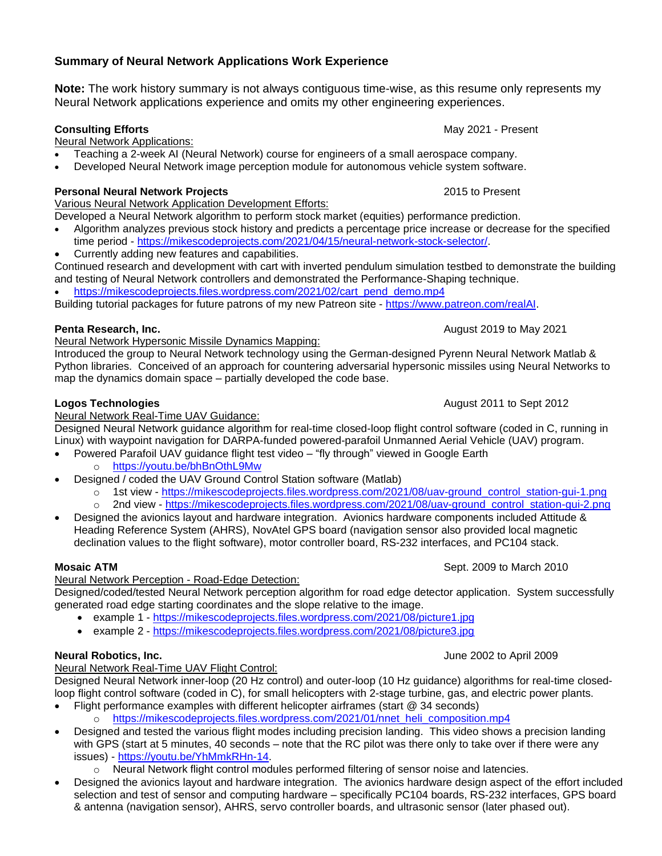# **Summary of Neural Network Applications Work Experience**

**Note:** The work history summary is not always contiguous time-wise, as this resume only represents my Neural Network applications experience and omits my other engineering experiences.

## **Consulting Efforts** May 2021 - Present

Neural Network Applications:

- Teaching a 2-week AI (Neural Network) course for engineers of a small aerospace company.
- Developed Neural Network image perception module for autonomous vehicle system software.

## **Personal Neural Network Projects** 2015 to Present

Various Neural Network Application Development Efforts:

Developed a Neural Network algorithm to perform stock market (equities) performance prediction.

- Algorithm analyzes previous stock history and predicts a percentage price increase or decrease for the specified time period - [https://mikescodeprojects.com/2021/04/15/neural-network-stock-selector/.](https://mikescodeprojects.com/2021/04/15/neural-network-stock-selector/)
- Currently adding new features and capabilities.

Continued research and development with cart with inverted pendulum simulation testbed to demonstrate the building and testing of Neural Network controllers and demonstrated the Performance-Shaping technique.

• [https://mikescodeprojects.files.wordpress.com/2021/02/cart\\_pend\\_demo.mp4](https://mikescodeprojects.files.wordpress.com/2021/02/cart_pend_demo.mp4)

Building tutorial packages for future patrons of my new Patreon site - [https://www.patreon.com/realAI.](https://www.patreon.com/realAI)

# **Penta Research, Inc.** August 2019 to May 2021

Neural Network Hypersonic Missile Dynamics Mapping:

Introduced the group to Neural Network technology using the German-designed Pyrenn Neural Network Matlab & Python libraries. Conceived of an approach for countering adversarial hypersonic missiles using Neural Networks to map the dynamics domain space – partially developed the code base.

# **Logos Technologies August 2011 to Sept 2012**

Neural Network Real-Time UAV Guidance:

Designed Neural Network guidance algorithm for real-time closed-loop flight control software (coded in C, running in Linux) with waypoint navigation for DARPA-funded powered-parafoil Unmanned Aerial Vehicle (UAV) program.

- Powered Parafoil UAV guidance flight test video "fly through" viewed in Google Earth
	- o <https://youtu.be/bhBnOthL9Mw>
- Designed / coded the UAV Ground Control Station software (Matlab)
	- o 1st view [https://mikescodeprojects.files.wordpress.com/2021/08/uav-ground\\_control\\_station-gui-1.png](https://mikescodeprojects.files.wordpress.com/2021/08/uav-ground_control_station-gui-1.png)
	- o 2nd view [https://mikescodeprojects.files.wordpress.com/2021/08/uav-ground\\_control\\_station-gui-2.png](https://mikescodeprojects.files.wordpress.com/2021/08/uav-ground_control_station-gui-2.png)
- Designed the avionics layout and hardware integration. Avionics hardware components included Attitude & Heading Reference System (AHRS), NovAtel GPS board (navigation sensor also provided local magnetic declination values to the flight software), motor controller board, RS-232 interfaces, and PC104 stack.

Neural Network Perception - Road-Edge Detection:

Designed/coded/tested Neural Network perception algorithm for road edge detector application. System successfully generated road edge starting coordinates and the slope relative to the image.

- example 1 <https://mikescodeprojects.files.wordpress.com/2021/08/picture1.jpg>
- example 2 <https://mikescodeprojects.files.wordpress.com/2021/08/picture3.jpg>

# **Neural Robotics, Inc.** June 2002 to April 2009

Neural Network Real-Time UAV Flight Control: Designed Neural Network inner-loop (20 Hz control) and outer-loop (10 Hz guidance) algorithms for real-time closedloop flight control software (coded in C), for small helicopters with 2-stage turbine, gas, and electric power plants.

- Flight performance examples with different helicopter airframes (start @ 34 seconds)
	- o [https://mikescodeprojects.files.wordpress.com/2021/01/nnet\\_heli\\_composition.mp4](https://mikescodeprojects.files.wordpress.com/2021/01/nnet_heli_composition.mp4)
- Designed and tested the various flight modes including precision landing. This video shows a precision landing with GPS (start at 5 minutes, 40 seconds – note that the RC pilot was there only to take over if there were any issues) - [https://youtu.be/YhMmkRHn-14.](https://youtu.be/YhMmkRHn-14)
	- o Neural Network flight control modules performed filtering of sensor noise and latencies.
- Designed the avionics layout and hardware integration. The avionics hardware design aspect of the effort included selection and test of sensor and computing hardware – specifically PC104 boards, RS-232 interfaces, GPS board & antenna (navigation sensor), AHRS, servo controller boards, and ultrasonic sensor (later phased out).

# **Mosaic ATM** Sept. 2009 to March 2010